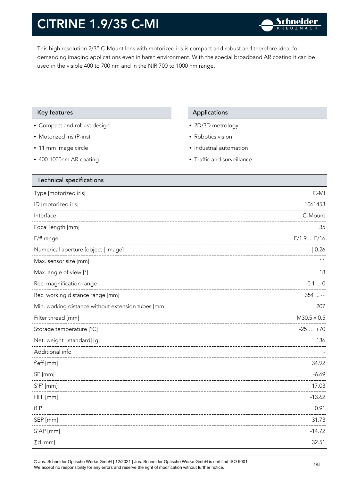This high resolution 2/3" C-Mount lens with motorized iris is compact and robust and therefore ideal for demanding imaging applications even in harsh environment. With the special broadband AR coating it can be used in the visible 400 to 700 nm and in the NIR 700 to 1000 nm range.

### Key features Applications Applications

- Compact and robust design
- Motorized iris (P-iris)
- 11 mm image circle
- 400-1000nm AR coating

- 2D/3D metrology
- Robotics vision
- Industrial automation
- Traffic and surveillance

| <b>Technical specifications</b>                    |                    |
|----------------------------------------------------|--------------------|
| Type [motorized iris]                              | $C-MI$             |
| ID [motorized iris]                                | 1061453            |
| Interface                                          | C-Mount            |
| Focal length [mm]                                  | 35                 |
| $F/\#$ range                                       | $F/1.9$ $F/16$     |
| Numerical aperture [object   image]                | $- 0.26$           |
| Max. sensor size [mm]                              | 11                 |
| Max. angle of view [°]                             | 18                 |
| Rec. magnification range                           | $-0.10$            |
| Rec. working distance range [mm]                   | $354$ $\infty$     |
| Min. working distance without extension tubes [mm] | 207                |
| Filter thread [mm]                                 | $M30.5 \times 0.5$ |
| Storage temperature [°C]                           | $-25+70$           |
| Net. weight [standard] [g]                         | 136                |
| Additional info                                    |                    |
| f'eff [mm]                                         | 34.92              |
| SF [mm]                                            | $-6.69$            |
| $S'F'$ [mm]                                        | 17.03              |
| HH' [mm]                                           | $-13.62$           |
| $\beta'$ P                                         | 0.91               |
| SEP [mm]                                           | 31.73              |
| S'AP [mm]                                          | $-14.72$           |
| $\Sigma d$ [mm]                                    | 32.51              |
|                                                    |                    |

© Jos. Schneider Optische Werke GmbH | 12/2021 | Jos. Schneider Optische Werke GmbH is certified ISO 9001. We accept no responsibility for any errors and reserve the right of modification without further notice.<br>We accept no responsibility for any errors and reserve the right of modification without further notice.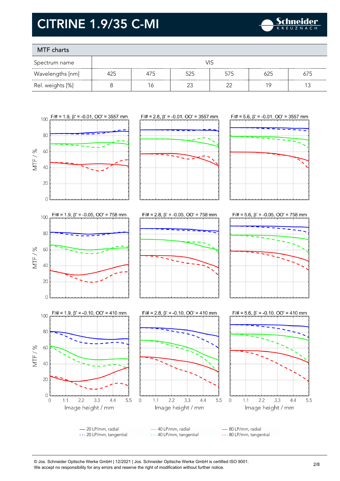

### MTF charts

| Spectrum name    |     |     |     |        |     |     |
|------------------|-----|-----|-----|--------|-----|-----|
| Wavelengths [nm] | 425 | 4/5 | 525 | 575    | 625 | 675 |
| Rel. weights [%] |     | 6   |     | $\sim$ | 19  |     |



 $F/\# = 5.6$ ,  $\beta' = -0.05$ , OO' = 758 mm



- 20 LP/mm, radial 40 LP/mm, radial 80 LP/mm, radial --- 20 LP/mm, tangential --- 40 LP/mm, tangential --- 80 LP/mm, tangential

<sup>©</sup> Jos. Schneider Optische Werke GmbH | 12/2021 | Jos. Schneider Optische Werke GmbH is certified ISO 9001. We accept no responsibility for any errors and reserve the right of modification without further notice.<br>We accept no responsibility for any errors and reserve the right of modification without further notice.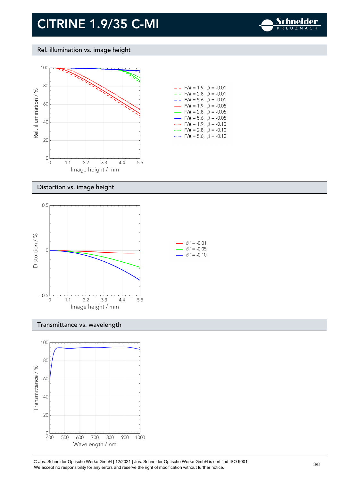

#### Rel. illumination vs. image height



| - -                      | $F/\ddot{=} = 1.9, \ \beta = -0.01$     |  |
|--------------------------|-----------------------------------------|--|
| $- -$                    | F/# = 2.8, $\beta$ = -0.01              |  |
| - -                      | $F/\ddot{=} = 5.6, \ \beta = -0.01$     |  |
| $\overline{\phantom{0}}$ | $F/\ddot{\pi} = 1.9, \ \beta = -0.05$   |  |
| $\overline{\phantom{0}}$ | $F/\ddot{\pi} = 2.8, \ \ \beta = -0.05$ |  |
| $\overline{\phantom{0}}$ | $F/\ddot{\pi} = 5.6, \ \beta = -0.05$   |  |
|                          | $F/\# = 1.9, \ \beta = -0.10$           |  |
|                          | $F/\ddot{=} = 2.8, \ \ \beta = -0.10$   |  |
|                          | $F/\ddot{=} = 5.6, \ \beta = -0.10$     |  |

#### Distortion vs. image height



#### Transmittance vs. wavelength



© Jos. Schneider Optische Werke GmbH | 12/2021 | Jos. Schneider Optische Werke GmbH is certified ISO 9001. We accept no responsibility for any errors and reserve the right of modification without further notice.<br>We accept no responsibility for any errors and reserve the right of modification without further notice.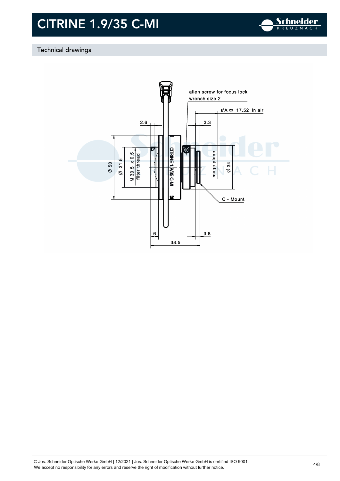

### Technical drawings

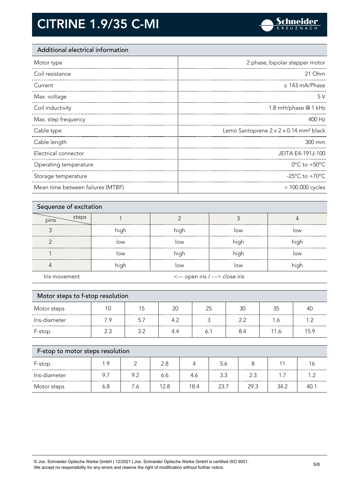

### Additional electrical information

| Motor type            | 2 phase, bipolar stepper motor                     |
|-----------------------|----------------------------------------------------|
| Coil resistance       | 21 Ohm                                             |
| Current               | $\leq$ 143 mA/Phase                                |
| Max. voltage          | 5V                                                 |
| Coil inductivity      | 1.8 mH/phase @ 1 kHz                               |
| Max. step frequency   | 400 Hz                                             |
|                       |                                                    |
| Cable type            | Lemo Santoprene 2 x 2 x 0.14 mm <sup>2</sup> black |
| Cable length          | 300 mm                                             |
| Electrical connector  | JEITA E4-191J-100                                  |
| Operating temperature | $0^{\circ}$ C to +50 $^{\circ}$ C                  |
| Storage temperature   | -25 $^{\circ}$ C to +70 $^{\circ}$ C               |

| Sequenze of excitation |      |                                  |      |      |
|------------------------|------|----------------------------------|------|------|
| steps<br>pins          |      |                                  |      |      |
|                        | high | high                             | low  | low  |
|                        | low  | low                              | high | high |
|                        | low  | high                             | high | low  |
|                        | high | low                              | low  | high |
| Iris movement          |      | <--- open iris / ---> close iris |      |      |

| Motor steps to f-stop resolution<br>Motor steps | 10  | 15  | 20  | 25  | 30  | 35   | 40   |
|-------------------------------------------------|-----|-----|-----|-----|-----|------|------|
|                                                 |     |     |     |     |     |      |      |
| Iris-diameter                                   | 7.9 | 5.7 | 4.2 | ς   | 2.2 | 1.6  | 1.2  |
| F-stop                                          | 2.3 | 3.2 | 4.4 | 6.1 | 8.4 | 11.6 | 15.9 |

| F-stop        | 1 G |     |      |      | 5.6  |      |      |     |
|---------------|-----|-----|------|------|------|------|------|-----|
| Iris-diameter | 9.7 | 9.2 | 6.6  |      | 3.3  |      |      |     |
| Motor steps   | 6.8 | .c  | 12.8 | 18.4 | 23.7 | 29.3 | 34.2 | 40. |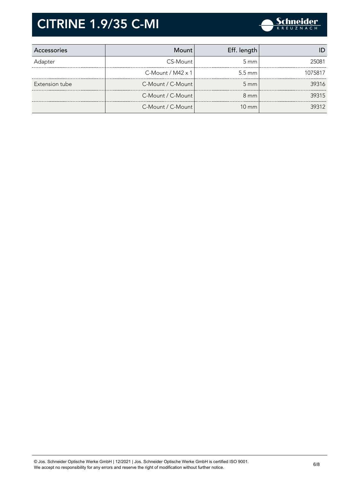

| Accessories    | Mount l                     | Eff. length        |         |
|----------------|-----------------------------|--------------------|---------|
| Adapter        | CS-Mount                    | $5 \text{ mm}$     | 25081   |
|                | $C$ -Mount / M42 $\times$ 1 | $5.5 \text{ mm}$   | 1075817 |
| Extension tube | C-Mount / C-Mount           | $5 \, \mathrm{mm}$ | 39316   |
|                | C-Mount / C-Mount           | $8 \text{ mm}$     | 39315   |
|                | C-Mount / C-Mount           | $10 \text{ mm}$    | 39312   |